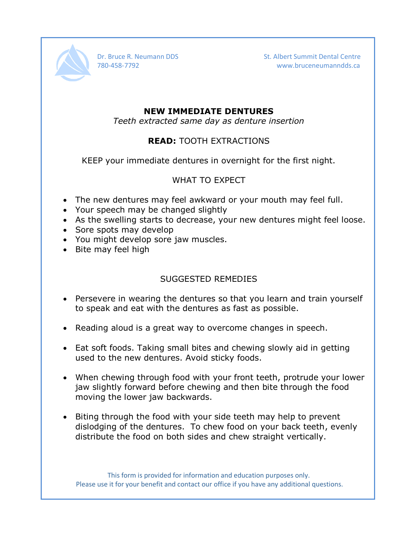

Dr. Bruce R. Neumann DDS St. Albert Summit Dental Centre 780-458-7792 www.bruceneumanndds.ca

#### **NEW IMMEDIATE DENTURES**

*Teeth extracted same day as denture insertion*

### **READ:** TOOTH EXTRACTIONS

KEEP your immediate dentures in overnight for the first night.

#### WHAT TO EXPECT

- The new dentures may feel awkward or your mouth may feel full.
- Your speech may be changed slightly
- As the swelling starts to decrease, your new dentures might feel loose.
- Sore spots may develop
- You might develop sore jaw muscles.
- Bite may feel high

## SUGGESTED REMEDIES

- Persevere in wearing the dentures so that you learn and train yourself to speak and eat with the dentures as fast as possible.
- Reading aloud is a great way to overcome changes in speech.
- Eat soft foods. Taking small bites and chewing slowly aid in getting used to the new dentures. Avoid sticky foods.
- When chewing through food with your front teeth, protrude your lower jaw slightly forward before chewing and then bite through the food moving the lower jaw backwards.
- Biting through the food with your side teeth may help to prevent dislodging of the dentures. To chew food on your back teeth, evenly distribute the food on both sides and chew straight vertically.

This form is provided for information and education purposes only. Please use it for your benefit and contact our office if you have any additional questions.